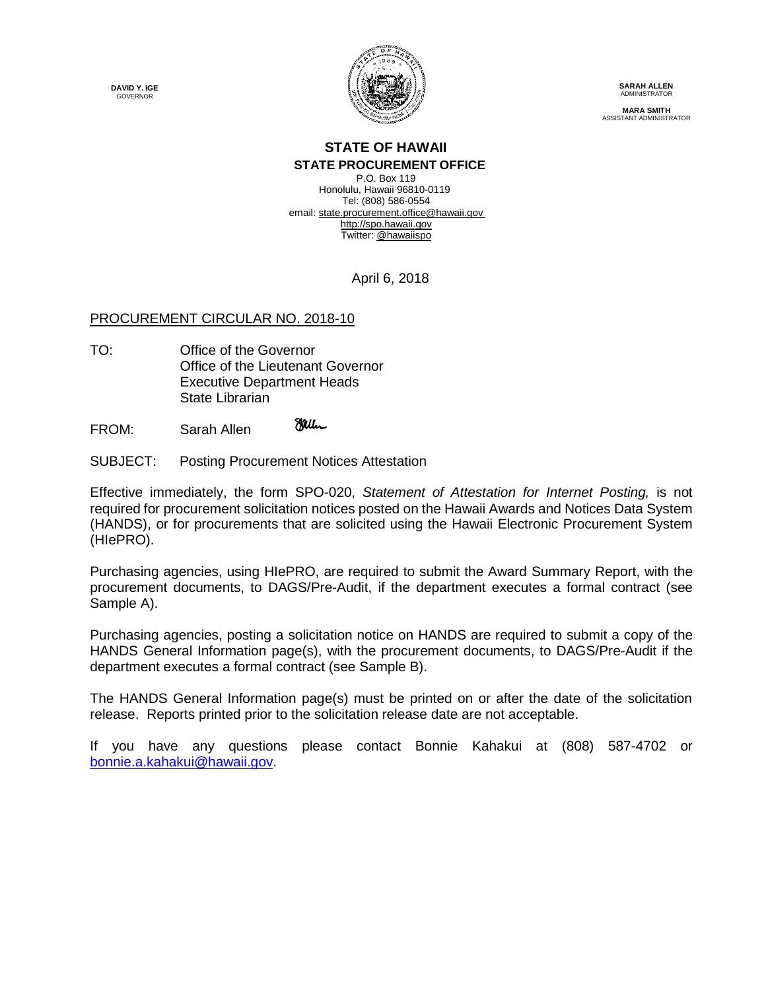**DAVID Y. IGE GOVERNOR** 



**SARAH ALLEN** ADMINISTRATOR

**MARA SMITH**<br>ASSISTANT ADMINISTR **ADMINISTRATOR** 

#### **STATE OF HAWAII STATE PROCUREMENT OFFICE**

P.O. Box 119 Honolulu, Hawaii 96810-0119 Tel: (808) 586-0554 email[: state.procurement.office@hawaii.gov](mailto:state.procurement.office@hawaii.gov) [http://spo.hawaii.gov](http://spo.hawaii.gov/) Twitter: [@hawaiispo](https://twitter.com/hawaiispo)

April 6, 2018

#### PROCUREMENT CIRCULAR NO. 2018-10

TO: Office of the Governor Office of the Lieutenant Governor Executive Department Heads State Librarian

Miller FROM: Sarah Allen

SUBJECT: Posting Procurement Notices Attestation

Effective immediately, the form SPO-020, *Statement of Attestation for Internet Posting,* is not required for procurement solicitation notices posted on the Hawaii Awards and Notices Data System (HANDS), or for procurements that are solicited using the Hawaii Electronic Procurement System (HIePRO).

Purchasing agencies, using HIePRO, are required to submit the Award Summary Report, with the procurement documents, to DAGS/Pre-Audit, if the department executes a formal contract (see [Sample A\)](https://spo.hawaii.gov/wp-content/uploads/2018/04/PC2018-10-Attestation-part-3-signed.pdf).

Purchasing agencies, posting a solicitation notice on HANDS are required to submit a copy of the HANDS General Information page(s), with the procurement documents, to DAGS/Pre-Audit if the department executes a formal contract (see [Sample B\)](https://spo.hawaii.gov/wp-content/uploads/2018/04/PC2018-10-Attestation-part-4-signed.pdf).

The HANDS General Information page(s) must be printed on or after the date of the solicitation release. Reports printed prior to the solicitation release date are not acceptable.

If you have any questions please contact Bonnie Kahakui at (808) 587-4702 or [bonnie.a.kahakui@hawaii.gov.](mailto:bonnie.a.kahakui@hawaii.gov)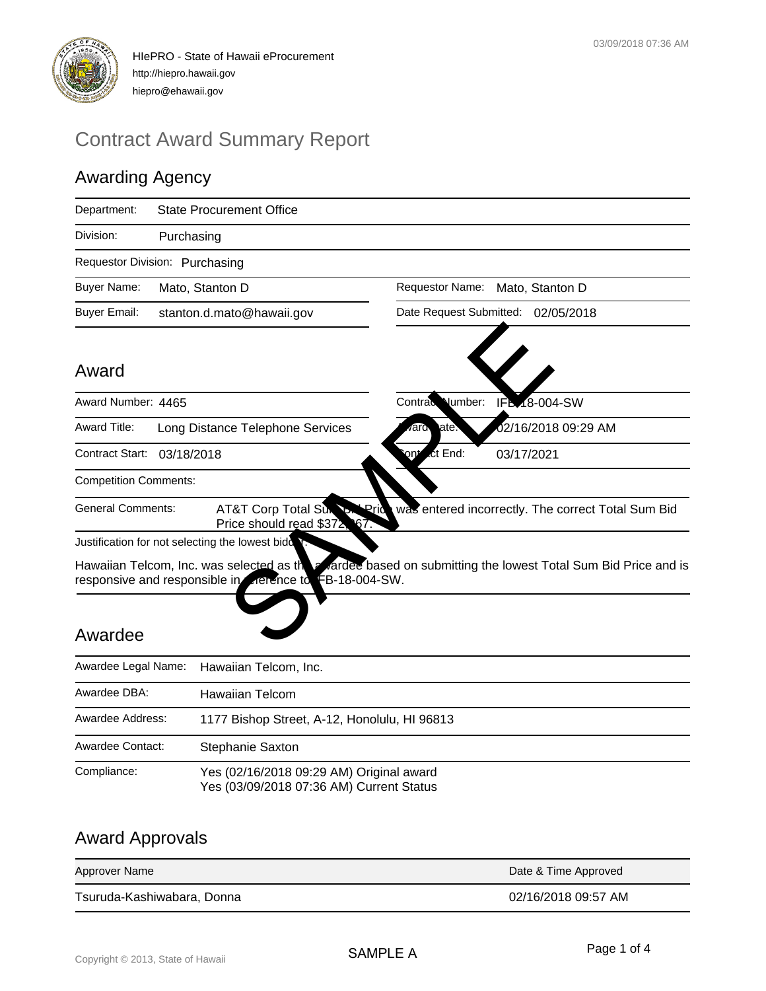

# Contract Award Summary Report

# Awarding Agency

| Department:                    | <b>State Procurement Office</b>                                                      |                                                                                                             |  |
|--------------------------------|--------------------------------------------------------------------------------------|-------------------------------------------------------------------------------------------------------------|--|
| Division:                      | Purchasing                                                                           |                                                                                                             |  |
| Requestor Division: Purchasing |                                                                                      |                                                                                                             |  |
| <b>Buyer Name:</b>             | Mato, Stanton D                                                                      | Requestor Name:<br>Mato, Stanton D                                                                          |  |
| <b>Buyer Email:</b>            | stanton.d.mato@hawaii.gov                                                            | Date Request Submitted:<br>02/05/2018                                                                       |  |
| Award                          |                                                                                      |                                                                                                             |  |
| Award Number: 4465             |                                                                                      | Contrac<br>umber:<br><b>IFB 18-004-SW</b>                                                                   |  |
| <b>Award Title:</b>            | Long Distance Telephone Services                                                     | ate.<br>02/16/2018 09:29 AM<br>aro.                                                                         |  |
| <b>Contract Start:</b>         | 03/18/2018                                                                           | ct End:<br>03/17/2021<br>ont                                                                                |  |
| <b>Competition Comments:</b>   |                                                                                      |                                                                                                             |  |
| <b>General Comments:</b>       | AT&T Corp Total Survey Pric<br>Price should read \$372,<br>67.                       | was entered incorrectly. The correct Total Sum Bid                                                          |  |
|                                | Justification for not selecting the lowest bidder:                                   |                                                                                                             |  |
|                                | responsive and responsible in <b>Analytic to FB-18-004-SW.</b>                       | Hawaiian Telcom, Inc. was selected as the coardee based on submitting the lowest Total Sum Bid Price and is |  |
| Awardee                        |                                                                                      |                                                                                                             |  |
| Awardee Legal Name:            | Hawaiian Telcom, Inc.                                                                |                                                                                                             |  |
| Awardee DBA:                   | <b>Hawaiian Telcom</b>                                                               |                                                                                                             |  |
| Awardee Address:               | 1177 Bishop Street, A-12, Honolulu, HI 96813                                         |                                                                                                             |  |
| Awardee Contact:               | Stephanie Saxton                                                                     |                                                                                                             |  |
| Compliance:                    | Yes (02/16/2018 09:29 AM) Original award<br>Yes (03/09/2018 07:36 AM) Current Status |                                                                                                             |  |

## Award Approvals

| Approver Name              | Date & Time Approved |
|----------------------------|----------------------|
| Tsuruda-Kashiwabara, Donna | 02/16/2018 09:57 AM  |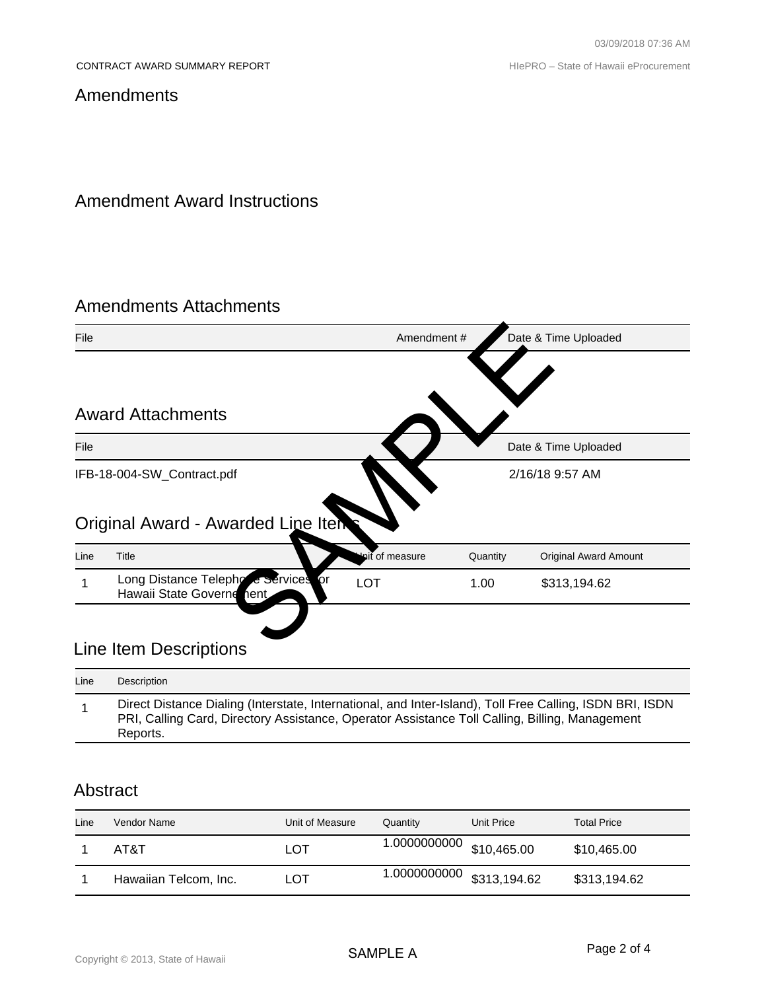**Amendments** 

#### Amendment Award Instructions

#### Amendments Attachments



| Line | Description                                                                                                                                                                                                            |
|------|------------------------------------------------------------------------------------------------------------------------------------------------------------------------------------------------------------------------|
|      | Direct Distance Dialing (Interstate, International, and Inter-Island), Toll Free Calling, ISDN BRI, ISDN<br>PRI, Calling Card, Directory Assistance, Operator Assistance Toll Calling, Billing, Management<br>Reports. |

#### **Abstract**

| Line | Vendor Name           | Unit of Measure | Quantitv                 | Unit Price                | Total Price  |
|------|-----------------------|-----------------|--------------------------|---------------------------|--------------|
|      | AT&T                  | <b>LOT</b>      | 1.0000000000 \$10,465.00 |                           | \$10,465.00  |
|      | Hawaiian Telcom, Inc. | LOT             |                          | 1.0000000000 \$313,194.62 | \$313,194.62 |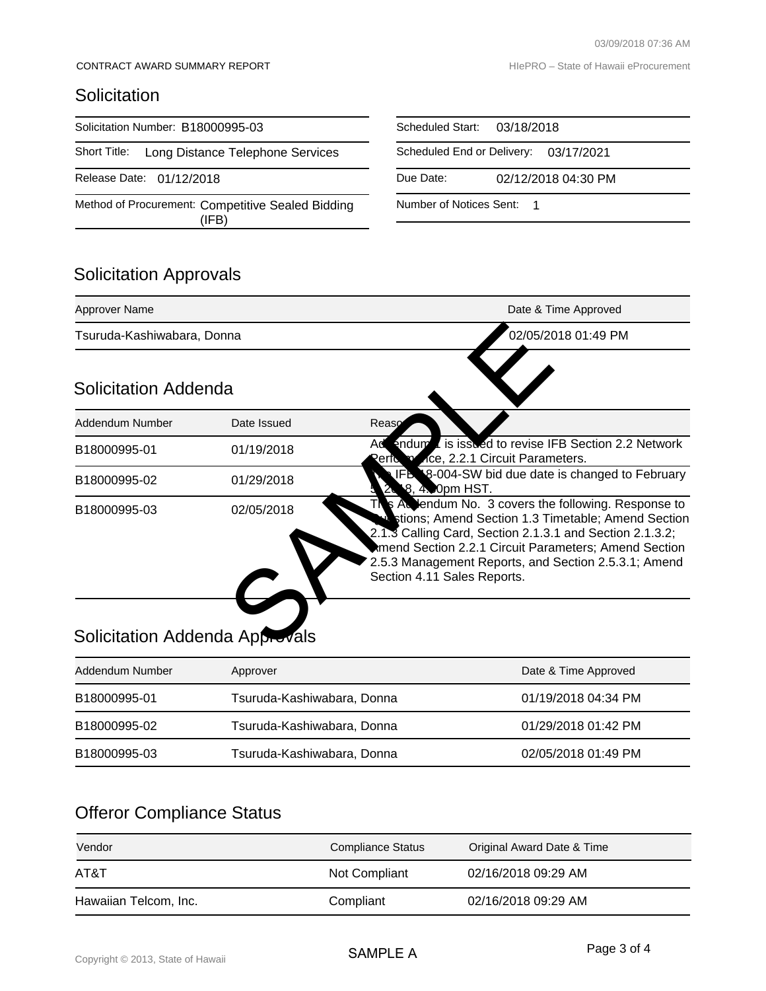#### **Solicitation**

Short Title: Long Distance Telephone Services

01/12/2018 Release Date:

Method of Procurement: Competitive Sealed Bidding (IFB)

| B18000995-03 | Scheduled Start: 03/18/2018 |  |
|--------------|-----------------------------|--|
|              |                             |  |

Scheduled End or Delivery: 03/17/2021

Due Date: 02/12/2018 04:30 PM

Number of Notices Sent: 1

## Solicitation Approvals

| 02/05/2018 01:49 PM<br>Tsuruda-Kashiwabara, Donna<br><b>Solicitation Addenda</b><br>Addendum Number<br>Date Issued<br>Reaso<br>01/19/2018<br>B18000995-01<br>Perform Ace, 2.2.1 Circuit Parameters.<br>01/29/2018<br>B18000995-02<br>8, 4. 0pm HST.<br>02/05/2018<br>B18000995-03<br>Section 4.11 Sales Reports. | Approver Name | Date & Time Approved                                                                                                                                                                                                                                                                                   |
|------------------------------------------------------------------------------------------------------------------------------------------------------------------------------------------------------------------------------------------------------------------------------------------------------------------|---------------|--------------------------------------------------------------------------------------------------------------------------------------------------------------------------------------------------------------------------------------------------------------------------------------------------------|
|                                                                                                                                                                                                                                                                                                                  |               |                                                                                                                                                                                                                                                                                                        |
|                                                                                                                                                                                                                                                                                                                  |               |                                                                                                                                                                                                                                                                                                        |
|                                                                                                                                                                                                                                                                                                                  |               |                                                                                                                                                                                                                                                                                                        |
|                                                                                                                                                                                                                                                                                                                  |               | Ad endum is issued to revise IFB Section 2.2 Network                                                                                                                                                                                                                                                   |
|                                                                                                                                                                                                                                                                                                                  |               | IFB 8-004-SW bid due date is changed to February                                                                                                                                                                                                                                                       |
|                                                                                                                                                                                                                                                                                                                  |               | <b>S At Jendum No. 3 covers the following. Response to</b><br><b>Restions</b> ; Amend Section 1.3 Timetable; Amend Section<br>2.1.3 Calling Card, Section 2.1.3.1 and Section 2.1.3.2;<br>mend Section 2.2.1 Circuit Parameters; Amend Section<br>2.5.3 Management Reports, and Section 2.5.3.1; Amend |
| Solicitation Addenda Approvals<br>Addendum Number<br>Data 8. Time Annroved<br>Annrover                                                                                                                                                                                                                           |               |                                                                                                                                                                                                                                                                                                        |

# Addendum Number Approver Approver Approver Approved Addendum Date & Time Approved B18000995-01 Tsuruda-Kashiwabara, Donna 01/19/2018 04:34 PM B18000995-02 Tsuruda-Kashiwabara, Donna 01/29/2018 01:42 PM B18000995-03 Tsuruda-Kashiwabara, Donna 02/05/2018 01:49 PM

## Offeror Compliance Status

| Vendor                | <b>Compliance Status</b> | Original Award Date & Time |
|-----------------------|--------------------------|----------------------------|
| AT&T                  | Not Compliant            | 02/16/2018 09:29 AM        |
| Hawaiian Telcom, Inc. | Compliant                | 02/16/2018 09:29 AM        |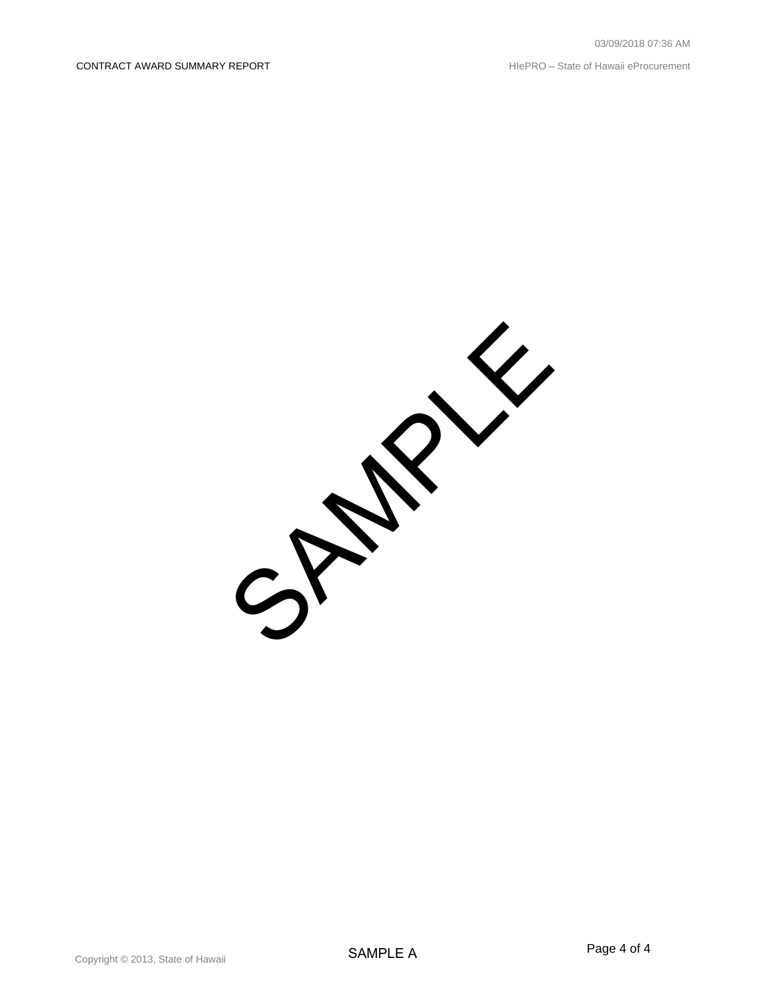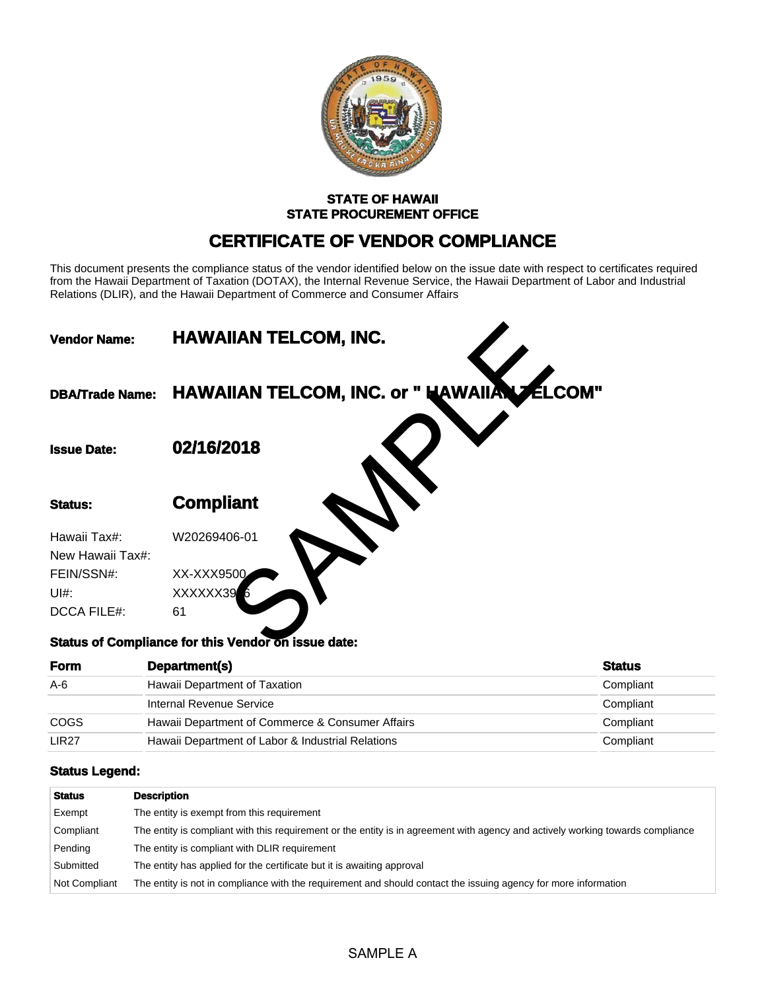

#### **STATE OF HAWAII STATE PROCUREMENT OFFICE**

## **CERTIFICATE OF VENDOR COMPLIANCE**

This document presents the compliance status of the vendor identified below on the issue date with respect to certificates required from the Hawaii Department of Taxation (DOTAX), the Internal Revenue Service, the Hawaii Department of Labor and Industrial Relations (DLIR), and the Hawaii Department of Commerce and Consumer Affairs

| <b>Vendor Name:</b>              |                                                     | <b>HAWAIIAN TELCOM, INC.</b>                |  |
|----------------------------------|-----------------------------------------------------|---------------------------------------------|--|
| <b>DBA/Trade Name:</b>           |                                                     | HAWAIIAN TELCOM, INC. or " LAWAIIAN TELCOM" |  |
| <b>Issue Date:</b>               | 02/16/2018                                          |                                             |  |
| <b>Status:</b>                   | <b>Compliant</b>                                    |                                             |  |
| Hawaii Tax#:<br>New Hawaii Tax#: | W20269406-01                                        |                                             |  |
| FEIN/SSN#:                       | XX-XXX9500                                          |                                             |  |
| $U$ #:                           | XXXXXX396                                           |                                             |  |
| <b>DCCA FILE#:</b>               | 61                                                  |                                             |  |
|                                  | Status of Compliance for this Vendor on issue date: |                                             |  |
| <b>Form</b>                      | Department(s)                                       |                                             |  |

| <b>Form</b>                            | Department(s)                                                  | <b>Status</b> |  |
|----------------------------------------|----------------------------------------------------------------|---------------|--|
| $A-6$<br>Hawaii Department of Taxation |                                                                | Compliant     |  |
|                                        | Internal Revenue Service                                       | Compliant     |  |
| COGS                                   | Hawaii Department of Commerce & Consumer Affairs<br>Compliant  |               |  |
| LIR <sub>27</sub>                      | Hawaii Department of Labor & Industrial Relations<br>Compliant |               |  |

#### **Status Legend:**

| <b>Status</b> | <b>Description</b>                                                                                                              |
|---------------|---------------------------------------------------------------------------------------------------------------------------------|
| Exempt        | The entity is exempt from this requirement                                                                                      |
| Compliant     | The entity is compliant with this requirement or the entity is in agreement with agency and actively working towards compliance |
| Pending       | The entity is compliant with DLIR requirement                                                                                   |
| Submitted     | The entity has applied for the certificate but it is awaiting approval                                                          |
| Not Compliant | The entity is not in compliance with the requirement and should contact the issuing agency for more information                 |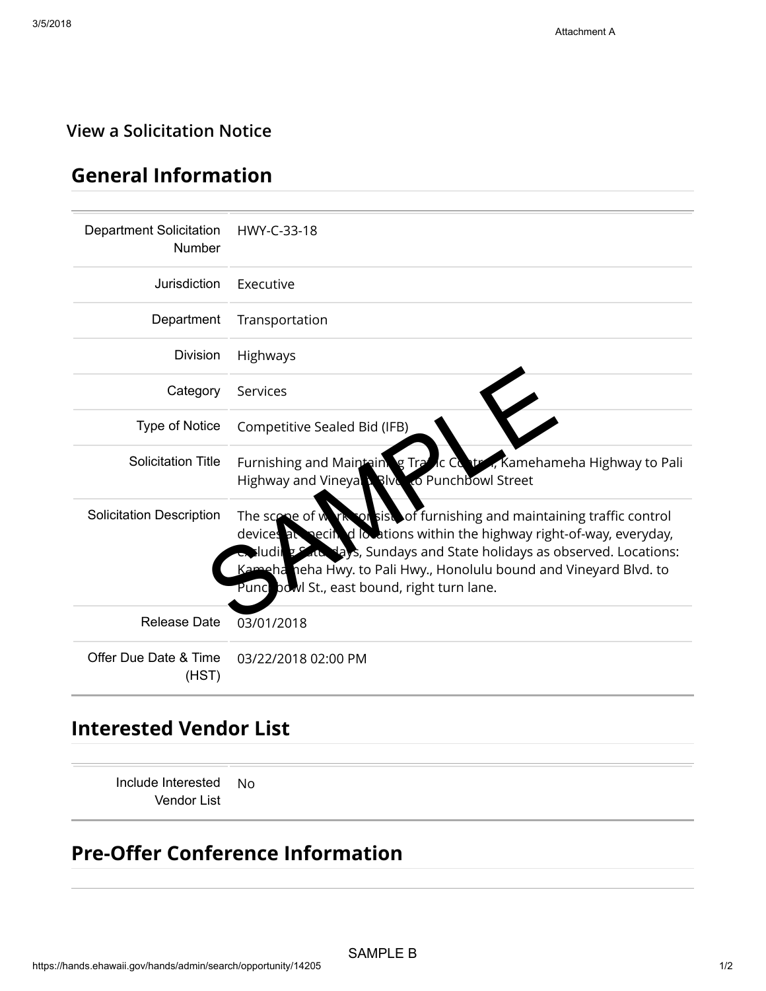## View a Solicitation Notice

# General Information

| <b>Department Solicitation</b><br>Number | HWY-C-33-18                                                                                                                                                                                                                                                                                                                                            |
|------------------------------------------|--------------------------------------------------------------------------------------------------------------------------------------------------------------------------------------------------------------------------------------------------------------------------------------------------------------------------------------------------------|
| <b>Jurisdiction</b>                      | Executive                                                                                                                                                                                                                                                                                                                                              |
| Department                               | Transportation                                                                                                                                                                                                                                                                                                                                         |
| <b>Division</b>                          | <b>Highways</b>                                                                                                                                                                                                                                                                                                                                        |
| Category                                 | Services                                                                                                                                                                                                                                                                                                                                               |
| Type of Notice                           | Competitive Sealed Bid (IFB)                                                                                                                                                                                                                                                                                                                           |
| <b>Solicitation Title</b>                | Furnishing and Maintain g Tra<br>Ic Control, Kamehameha Highway to Pali<br>Highway and Vineyal & Rive to Punchbowl Street                                                                                                                                                                                                                              |
| <b>Solicitation Description</b>          | The orisist of furnishing and maintaining traffic control<br>The scope of w<br>devices at pecify dlocations within the highway right-of-way, everyday,<br>sluding Saturalys, Sundays and State holidays as observed. Locations:<br>Kameha heha Hwy. to Pali Hwy., Honolulu bound and Vineyard Blvd. to<br>Punci bowl St., east bound, right turn lane. |
| <b>Release Date</b>                      | 03/01/2018                                                                                                                                                                                                                                                                                                                                             |
| Offer Due Date & Time<br>(HST)           | 03/22/2018 02:00 PM                                                                                                                                                                                                                                                                                                                                    |
| <b>Interested Vendor List</b>            |                                                                                                                                                                                                                                                                                                                                                        |
| Include Interested<br><b>Vendor List</b> | No                                                                                                                                                                                                                                                                                                                                                     |
|                                          | <b>Pre-Offer Conference Information</b>                                                                                                                                                                                                                                                                                                                |
|                                          |                                                                                                                                                                                                                                                                                                                                                        |
|                                          |                                                                                                                                                                                                                                                                                                                                                        |
|                                          | <b>SAMPLE B</b>                                                                                                                                                                                                                                                                                                                                        |

# Interested Vendor List

# Pre-Offer Conference Information